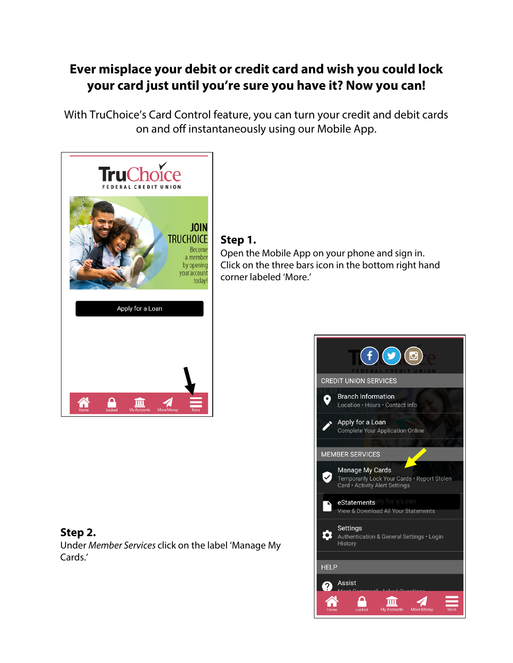# **Ever misplace your debit or credit card and wish you could lock your card just until you're sure you have it? Now you can!**

With TruChoice's Card Control feature, you can turn your credit and debit cards on and off instantaneously using our Mobile App.



## **Step 2.**

Under Member Services click on the label 'Manage My Cards.'

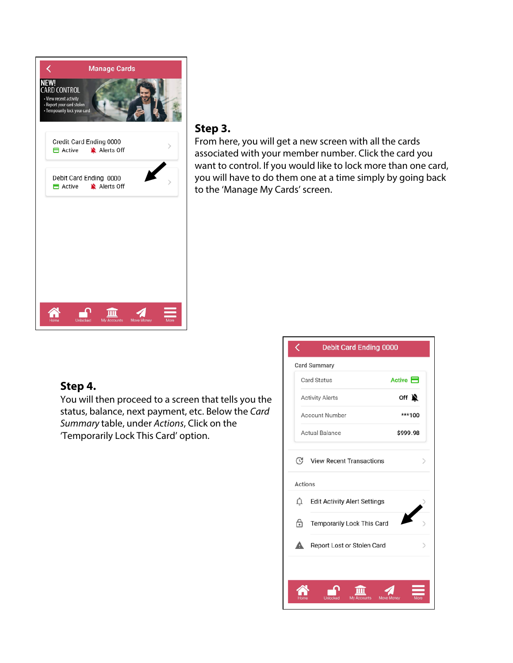

#### **Step 3.**

From here, you will get a new screen with all the cards associated with your member number. Click the card you want to control. If you would like to lock more than one card, you will have to do them one at a time simply by going back to the 'Manage My Cards' screen.

## **Step 4.**

You will then proceed to a screen that tells you the status, balance, next payment, etc. Below the Card Summary table, under Actions, Click on the 'Temporarily Lock This Card' option.

|                                          | <b>Card Summary</b>                 |                       |
|------------------------------------------|-------------------------------------|-----------------------|
| Card Status                              |                                     | Active $\blacksquare$ |
| <b>Activity Alerts</b><br>Account Number |                                     | off $\sum$            |
|                                          |                                     | ***100                |
|                                          | <b>Actual Balance</b>               | \$999.98              |
| △                                        | <b>Edit Activity Alert Settings</b> |                       |
| டி                                       | Temporarily Lock This Card          |                       |
|                                          | Report Lost or Stolen Card          |                       |
| А                                        |                                     |                       |
|                                          |                                     |                       |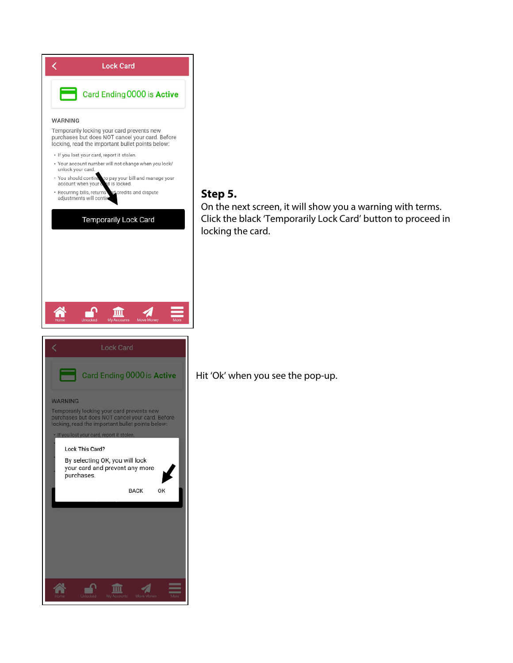

# **Step 5.**

On the next screen, it will show you a warning with terms. Click the black 'Temporarily Lock Card' button to proceed in locking the card.

Hit 'Ok' when you see the pop-up.